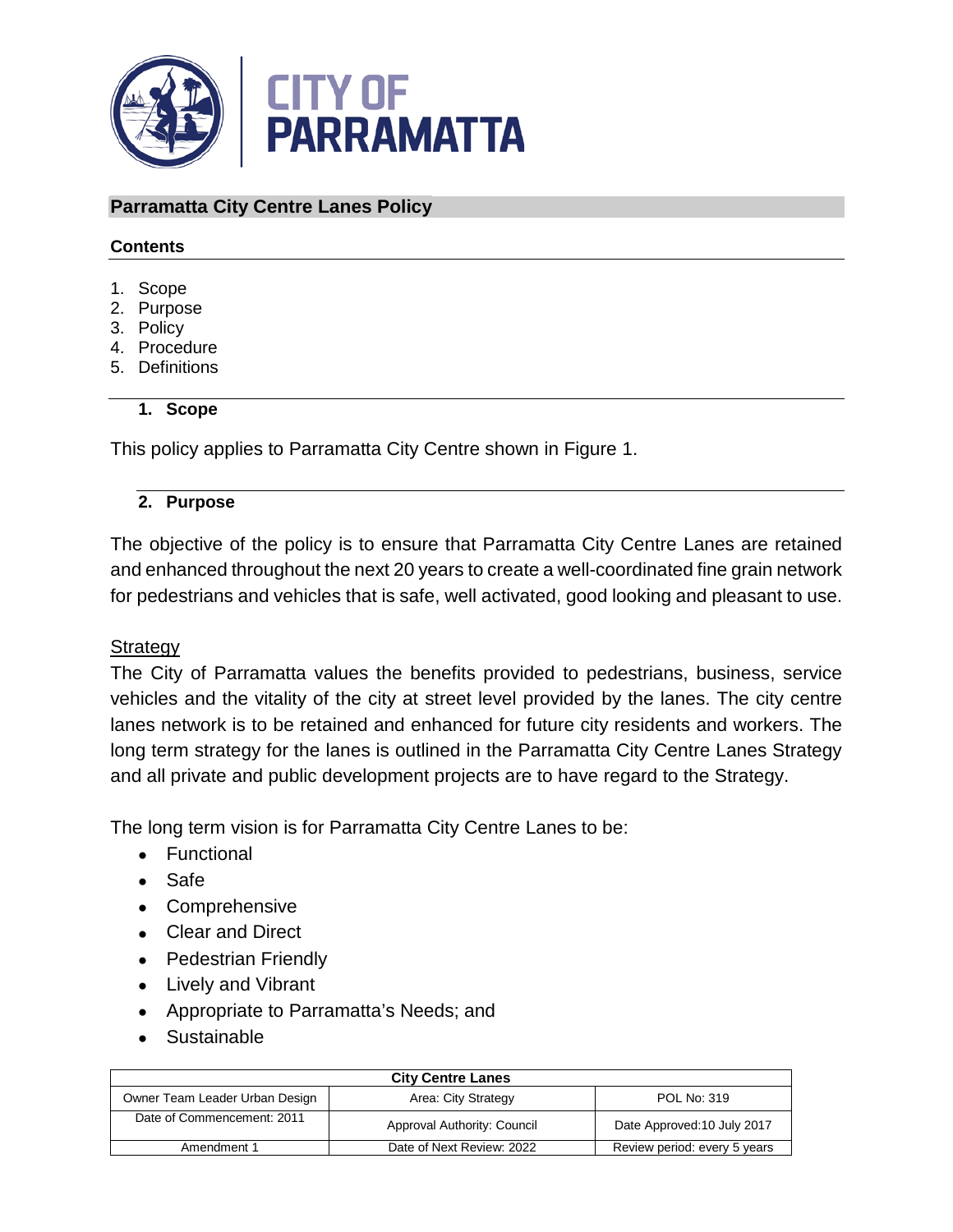

#### **Parramatta City Centre Lanes Policy**

#### **Contents**

- 1. Scope
- 2. Purpose
- 3. Policy
- 4. Procedure
- 5. Definitions

#### **1. Scope**

This policy applies to Parramatta City Centre shown in Figure 1.

#### **2. Purpose**

The objective of the policy is to ensure that Parramatta City Centre Lanes are retained and enhanced throughout the next 20 years to create a well-coordinated fine grain network for pedestrians and vehicles that is safe, well activated, good looking and pleasant to use.

### **Strategy**

The City of Parramatta values the benefits provided to pedestrians, business, service vehicles and the vitality of the city at street level provided by the lanes. The city centre lanes network is to be retained and enhanced for future city residents and workers. The long term strategy for the lanes is outlined in the Parramatta City Centre Lanes Strategy and all private and public development projects are to have regard to the Strategy.

The long term vision is for Parramatta City Centre Lanes to be:

- Functional
- Safe
- Comprehensive
- Clear and Direct
- Pedestrian Friendly
- Lively and Vibrant
- Appropriate to Parramatta's Needs; and
- Sustainable

| <b>City Centre Lanes</b>       |                             |                              |  |
|--------------------------------|-----------------------------|------------------------------|--|
| Owner Team Leader Urban Design | Area: City Strategy         | POL No: 319                  |  |
| Date of Commencement: 2011     | Approval Authority: Council | Date Approved: 10 July 2017  |  |
| Amendment 1                    | Date of Next Review: 2022   | Review period: every 5 years |  |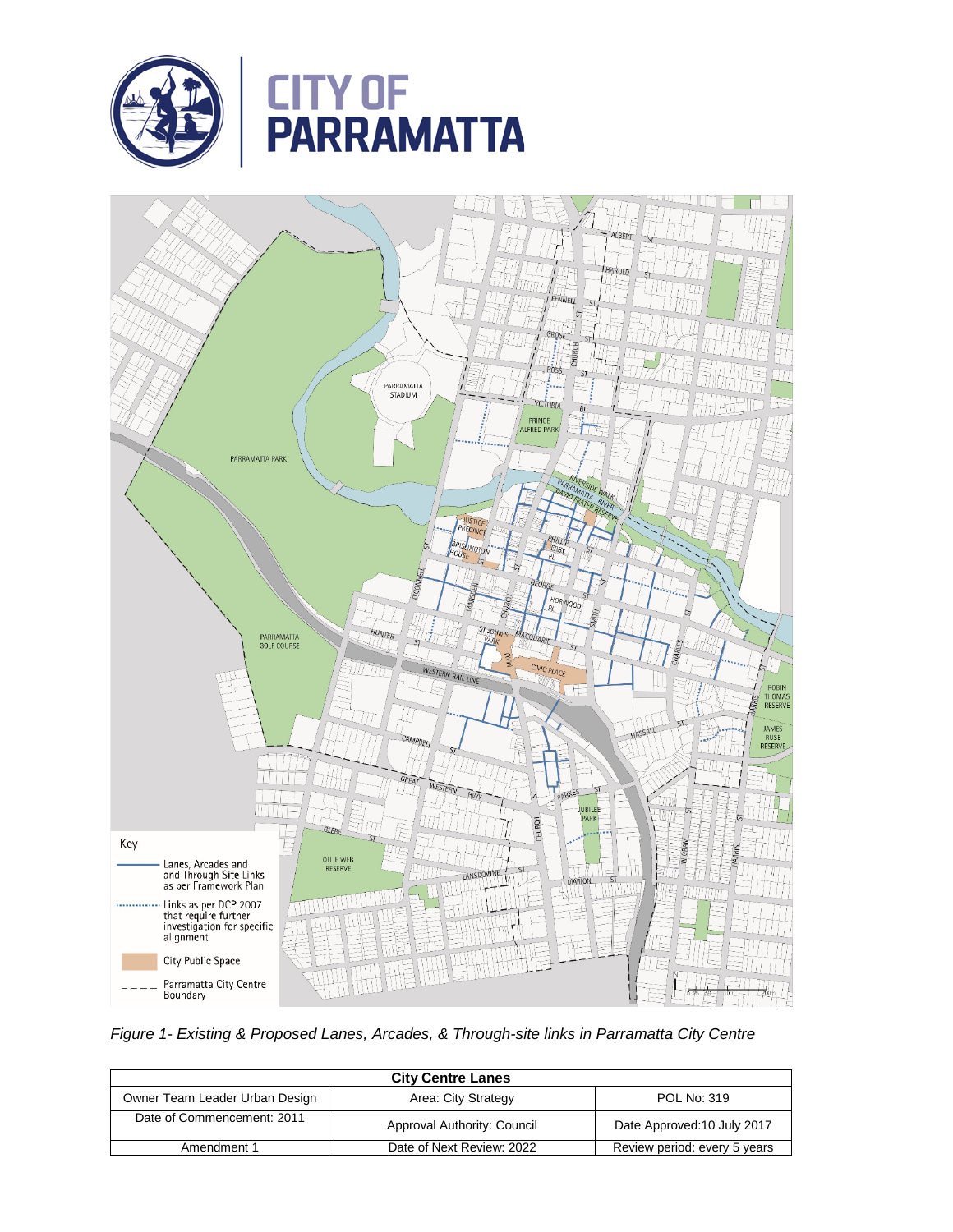



*Figure 1- Existing & Proposed Lanes, Arcades, & Through-site links in Parramatta City Centre*

| <b>City Centre Lanes</b>       |                             |                              |
|--------------------------------|-----------------------------|------------------------------|
| Owner Team Leader Urban Design | Area: City Strategy         | POL No: 319                  |
| Date of Commencement: 2011     | Approval Authority: Council | Date Approved: 10 July 2017  |
| Amendment 1                    | Date of Next Review: 2022   | Review period: every 5 years |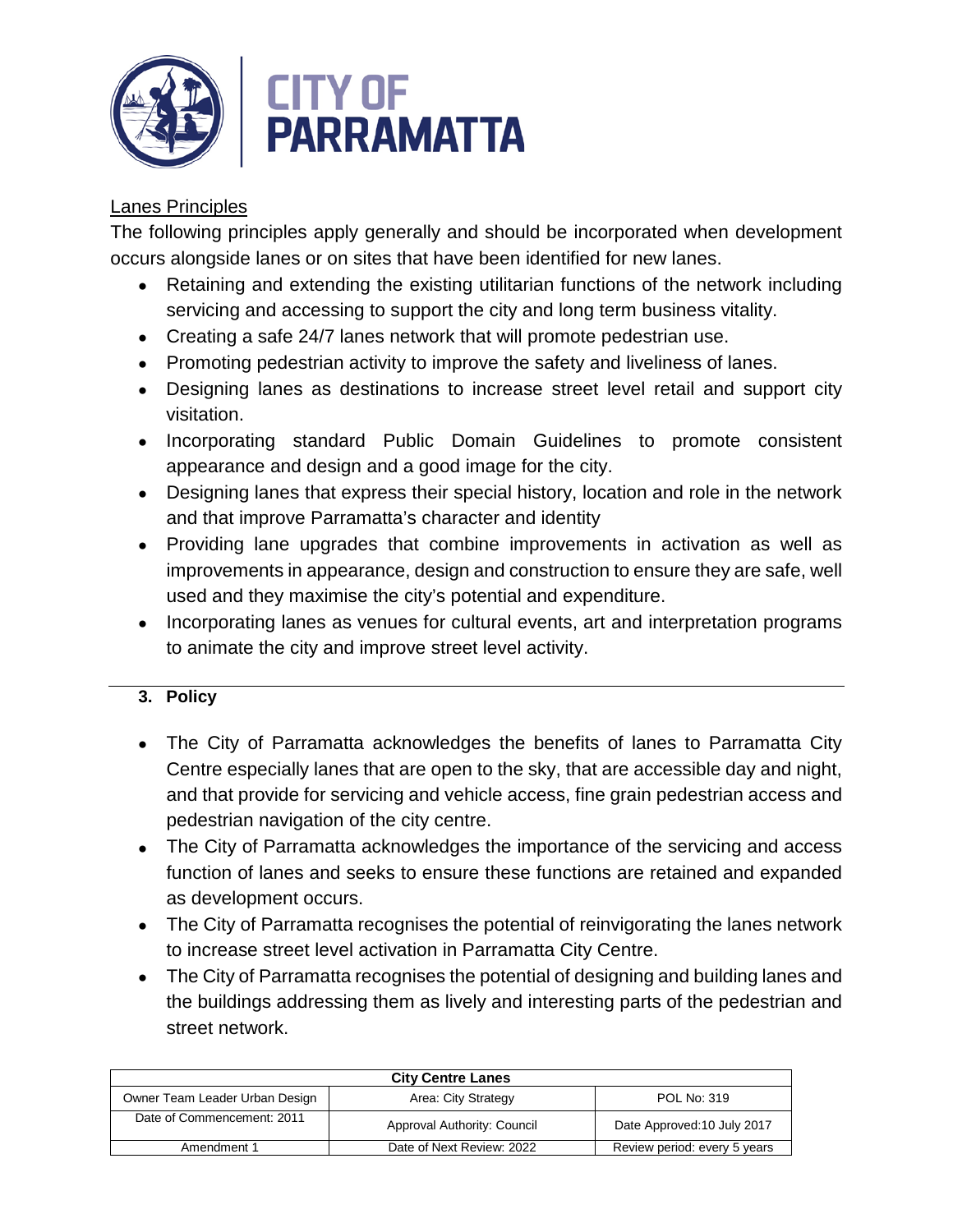

# Lanes Principles

The following principles apply generally and should be incorporated when development occurs alongside lanes or on sites that have been identified for new lanes.

- Retaining and extending the existing utilitarian functions of the network including servicing and accessing to support the city and long term business vitality.
- Creating a safe 24/7 lanes network that will promote pedestrian use.
- Promoting pedestrian activity to improve the safety and liveliness of lanes.
- Designing lanes as destinations to increase street level retail and support city visitation.
- Incorporating standard Public Domain Guidelines to promote consistent appearance and design and a good image for the city.
- Designing lanes that express their special history, location and role in the network and that improve Parramatta's character and identity
- Providing lane upgrades that combine improvements in activation as well as improvements in appearance, design and construction to ensure they are safe, well used and they maximise the city's potential and expenditure.
- Incorporating lanes as venues for cultural events, art and interpretation programs to animate the city and improve street level activity.

# **3. Policy**

- The City of Parramatta acknowledges the benefits of lanes to Parramatta City Centre especially lanes that are open to the sky, that are accessible day and night, and that provide for servicing and vehicle access, fine grain pedestrian access and pedestrian navigation of the city centre.
- The City of Parramatta acknowledges the importance of the servicing and access function of lanes and seeks to ensure these functions are retained and expanded as development occurs.
- The City of Parramatta recognises the potential of reinvigorating the lanes network to increase street level activation in Parramatta City Centre.
- The City of Parramatta recognises the potential of designing and building lanes and the buildings addressing them as lively and interesting parts of the pedestrian and street network.

| <b>City Centre Lanes</b>       |                             |                              |
|--------------------------------|-----------------------------|------------------------------|
| Owner Team Leader Urban Design | Area: City Strategy         | POL No: 319                  |
| Date of Commencement: 2011     | Approval Authority: Council | Date Approved: 10 July 2017  |
| Amendment 1                    | Date of Next Review: 2022   | Review period: every 5 years |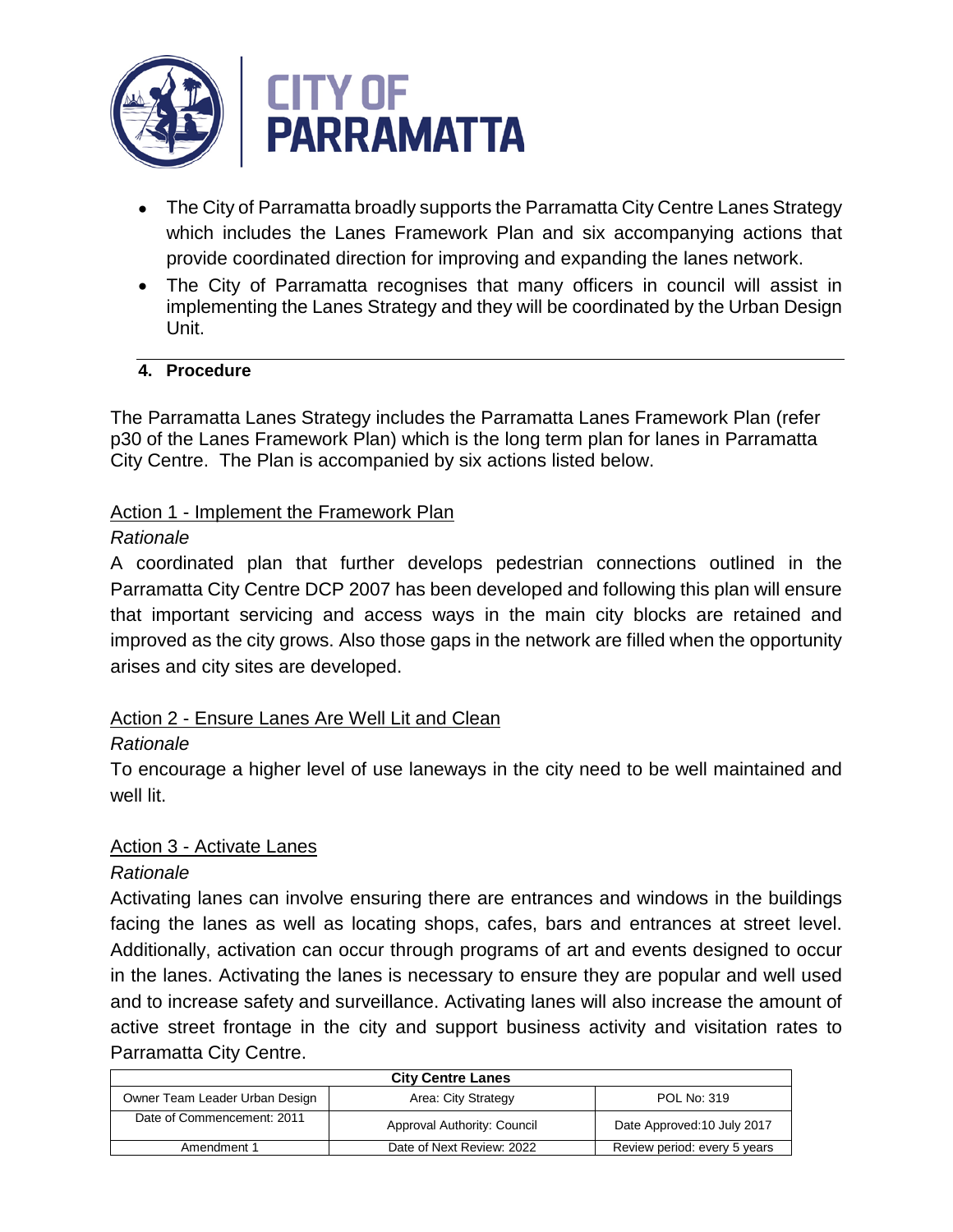

- The City of Parramatta broadly supports the Parramatta City Centre Lanes Strategy which includes the Lanes Framework Plan and six accompanying actions that provide coordinated direction for improving and expanding the lanes network.
- The City of Parramatta recognises that many officers in council will assist in implementing the Lanes Strategy and they will be coordinated by the Urban Design Unit.

# **4. Procedure**

The Parramatta Lanes Strategy includes the Parramatta Lanes Framework Plan (refer p30 of the Lanes Framework Plan) which is the long term plan for lanes in Parramatta City Centre. The Plan is accompanied by six actions listed below.

### Action 1 - Implement the Framework Plan

### *Rationale*

A coordinated plan that further develops pedestrian connections outlined in the Parramatta City Centre DCP 2007 has been developed and following this plan will ensure that important servicing and access ways in the main city blocks are retained and improved as the city grows. Also those gaps in the network are filled when the opportunity arises and city sites are developed.

# Action 2 - Ensure Lanes Are Well Lit and Clean

# *Rationale*

To encourage a higher level of use laneways in the city need to be well maintained and well lit.

# Action 3 - Activate Lanes

# *Rationale*

Activating lanes can involve ensuring there are entrances and windows in the buildings facing the lanes as well as locating shops, cafes, bars and entrances at street level. Additionally, activation can occur through programs of art and events designed to occur in the lanes. Activating the lanes is necessary to ensure they are popular and well used and to increase safety and surveillance. Activating lanes will also increase the amount of active street frontage in the city and support business activity and visitation rates to Parramatta City Centre.

| <b>City Centre Lanes</b>       |                             |                              |  |
|--------------------------------|-----------------------------|------------------------------|--|
| Owner Team Leader Urban Design | Area: City Strategy         | POL No: 319                  |  |
| Date of Commencement: 2011     | Approval Authority: Council | Date Approved: 10 July 2017  |  |
| Amendment 1                    | Date of Next Review: 2022   | Review period: every 5 years |  |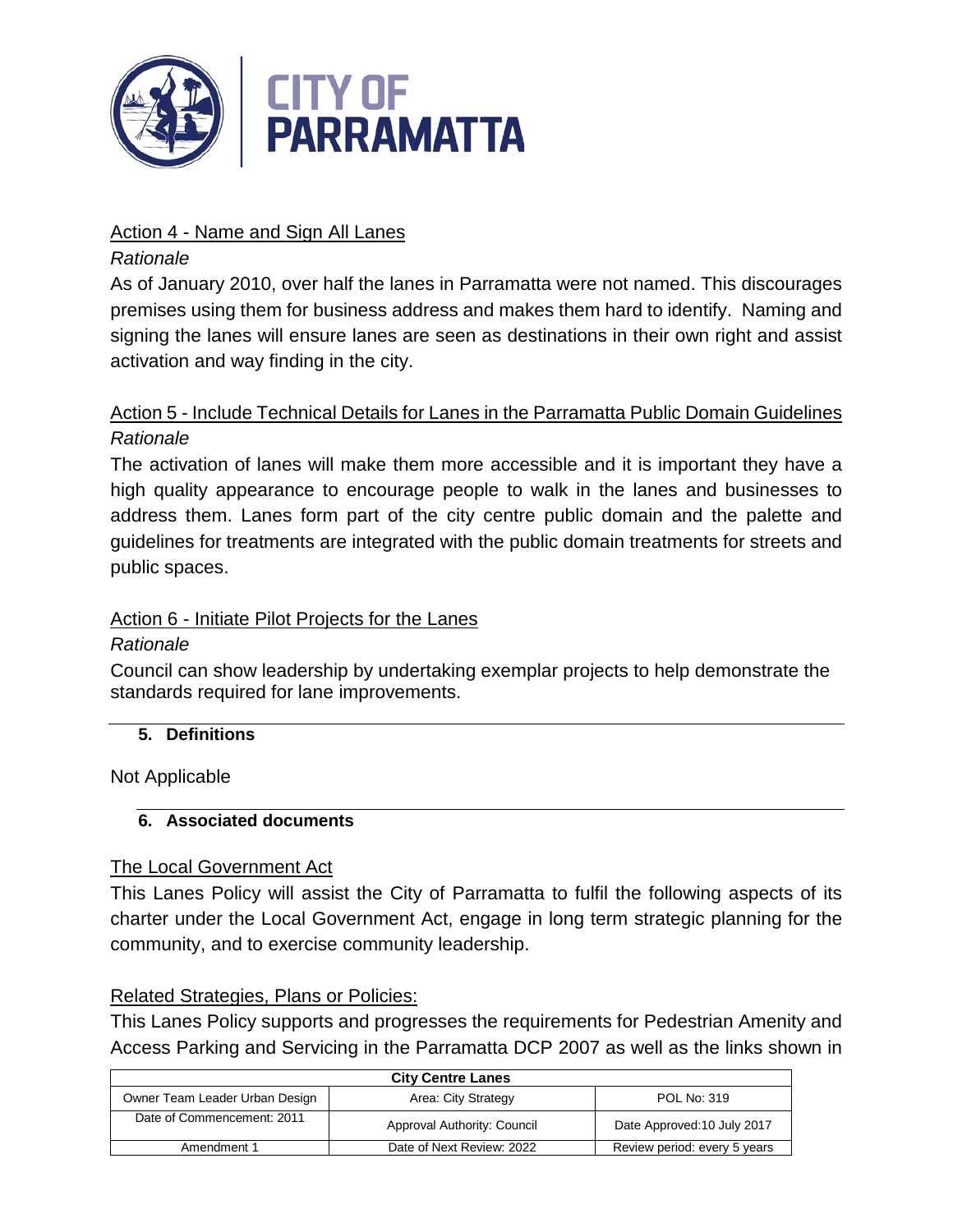

# Action 4 - Name and Sign All Lanes

# *Rationale*

As of January 2010, over half the lanes in Parramatta were not named. This discourages premises using them for business address and makes them hard to identify. Naming and signing the lanes will ensure lanes are seen as destinations in their own right and assist activation and way finding in the city.

# Action 5 - Include Technical Details for Lanes in the Parramatta Public Domain Guidelines *Rationale*

The activation of lanes will make them more accessible and it is important they have a high quality appearance to encourage people to walk in the lanes and businesses to address them. Lanes form part of the city centre public domain and the palette and guidelines for treatments are integrated with the public domain treatments for streets and public spaces.

# Action 6 - Initiate Pilot Projects for the Lanes

# *Rationale*

Council can show leadership by undertaking exemplar projects to help demonstrate the standards required for lane improvements.

# **5. Definitions**

Not Applicable

# **6. Associated documents**

# The Local Government Act

This Lanes Policy will assist the City of Parramatta to fulfil the following aspects of its charter under the Local Government Act, engage in long term strategic planning for the community, and to exercise community leadership.

# Related Strategies, Plans or Policies:

This Lanes Policy supports and progresses the requirements for Pedestrian Amenity and Access Parking and Servicing in the Parramatta DCP 2007 as well as the links shown in

| <b>City Centre Lanes</b>       |                             |                              |  |
|--------------------------------|-----------------------------|------------------------------|--|
| Owner Team Leader Urban Design | Area: City Strategy         | POL No: 319                  |  |
| Date of Commencement: 2011     | Approval Authority: Council | Date Approved: 10 July 2017  |  |
| Amendment 1                    | Date of Next Review: 2022   | Review period: every 5 years |  |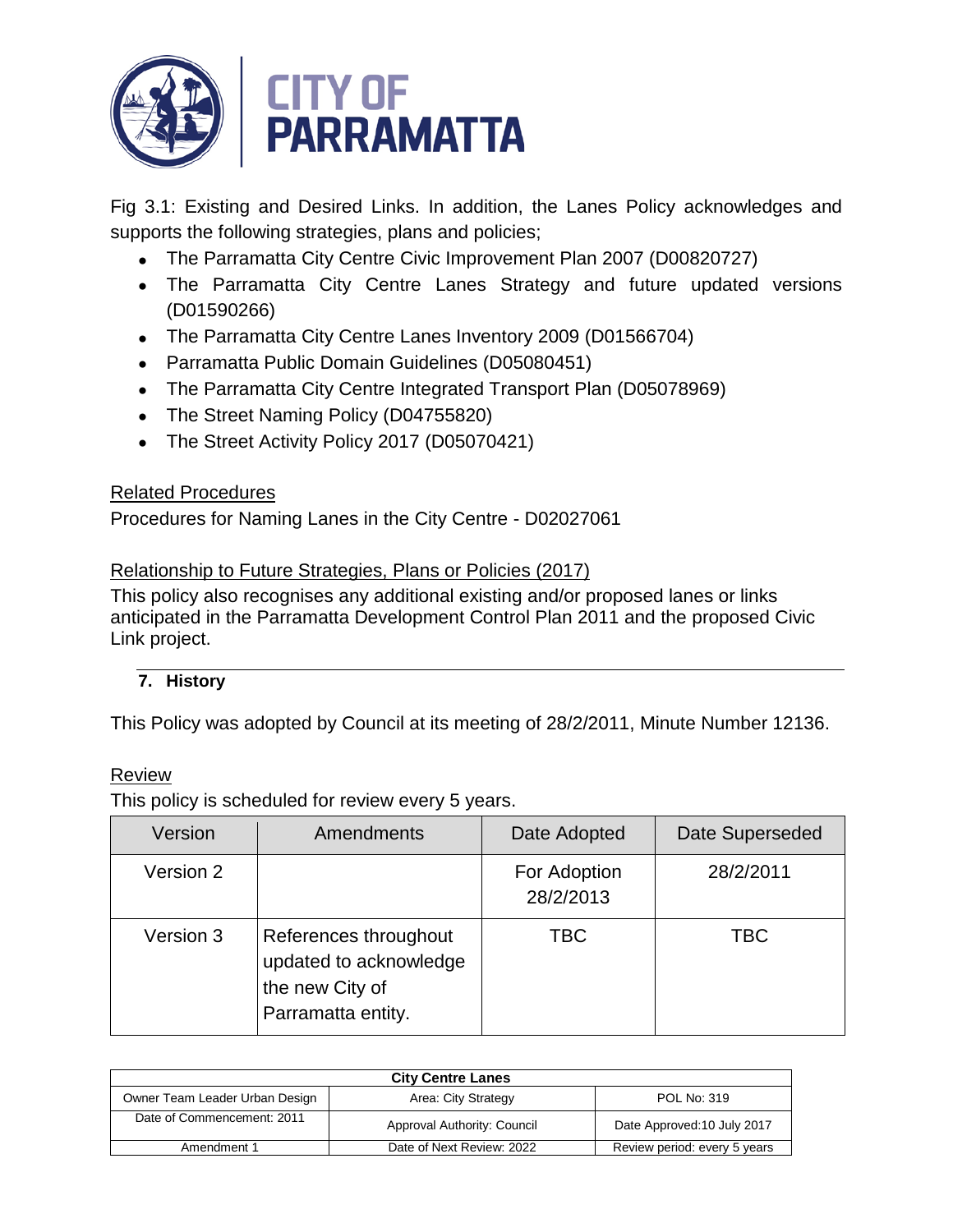

Fig 3.1: Existing and Desired Links. In addition, the Lanes Policy acknowledges and supports the following strategies, plans and policies;

- The Parramatta City Centre Civic Improvement Plan 2007 (D00820727)
- The Parramatta City Centre Lanes Strategy and future updated versions (D01590266)
- The Parramatta City Centre Lanes Inventory 2009 (D01566704)
- Parramatta Public Domain Guidelines (D05080451)
- The Parramatta City Centre Integrated Transport Plan (D05078969)
- The Street Naming Policy (D04755820)
- The Street Activity Policy 2017 (D05070421)

# Related Procedures

Procedures for Naming Lanes in the City Centre - D02027061

# Relationship to Future Strategies, Plans or Policies (2017)

This policy also recognises any additional existing and/or proposed lanes or links anticipated in the Parramatta Development Control Plan 2011 and the proposed Civic Link project.

# **7. History**

This Policy was adopted by Council at its meeting of 28/2/2011, Minute Number 12136.

# Review

This policy is scheduled for review every 5 years.

| Version   | Amendments                                                                               | Date Adopted              | Date Superseded |
|-----------|------------------------------------------------------------------------------------------|---------------------------|-----------------|
| Version 2 |                                                                                          | For Adoption<br>28/2/2013 | 28/2/2011       |
| Version 3 | References throughout<br>updated to acknowledge<br>the new City of<br>Parramatta entity. | TBC.                      | TBC             |

| <b>City Centre Lanes</b>       |                             |                              |
|--------------------------------|-----------------------------|------------------------------|
| Owner Team Leader Urban Design | Area: City Strategy         | POL No: 319                  |
| Date of Commencement: 2011     | Approval Authority: Council | Date Approved: 10 July 2017  |
| Amendment 1                    | Date of Next Review: 2022   | Review period: every 5 years |